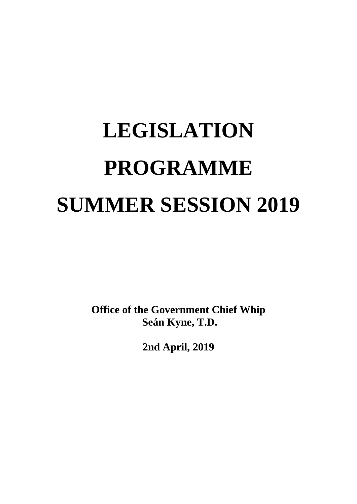# **LEGISLATION PROGRAMME SUMMER SESSION 2019**

**Office of the Government Chief Whip Seán Kyne, T.D.**

**2nd April, 2019**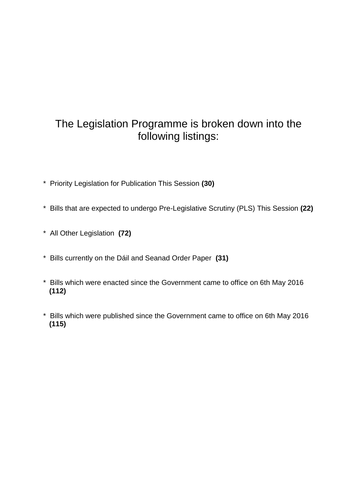## The Legislation Programme is broken down into the following listings:

- \* Priority Legislation for Publication This Session **(30)**
- \* Bills that are expected to undergo Pre-Legislative Scrutiny (PLS) This Session **(22)**
- \* All Other Legislation **(72)**
- \* Bills currently on the Dáil and Seanad Order Paper **(31)**
- \* Bills which were enacted since the Government came to office on 6th May 2016 **(112)**
- \* Bills which were published since the Government came to office on 6th May 2016  **(115)**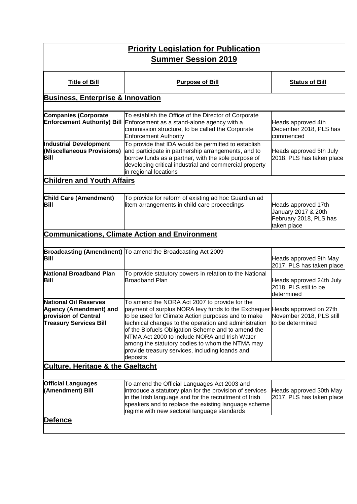| <b>Priority Legislation for Publication</b><br><b>Summer Session 2019</b>                                       |                                                                                                                                                                                                                                                                                                                                                                                                                                                                     |                                                                                     |
|-----------------------------------------------------------------------------------------------------------------|---------------------------------------------------------------------------------------------------------------------------------------------------------------------------------------------------------------------------------------------------------------------------------------------------------------------------------------------------------------------------------------------------------------------------------------------------------------------|-------------------------------------------------------------------------------------|
| <b>Title of Bill</b>                                                                                            | <b>Purpose of Bill</b>                                                                                                                                                                                                                                                                                                                                                                                                                                              | <b>Status of Bill</b>                                                               |
| <b>Business, Enterprise &amp; Innovation</b>                                                                    |                                                                                                                                                                                                                                                                                                                                                                                                                                                                     |                                                                                     |
| <b>Companies (Corporate</b><br><b>Enforcement Authority) Bill</b>                                               | To establish the Office of the Director of Corporate<br>Enforcement as a stand-alone agency with a<br>commission structure, to be called the Corporate<br><b>Enforcement Authority</b>                                                                                                                                                                                                                                                                              | Heads approved 4th<br>December 2018, PLS has<br>commenced                           |
| <b>Industrial Development</b><br>(Miscellaneous Provisions)<br>Bill                                             | To provide that IDA would be permitted to establish<br>and participate in partnership arrangements, and to<br>borrow funds as a partner, with the sole purpose of<br>developing critical industrial and commercial property<br>in regional locations                                                                                                                                                                                                                | Heads approved 5th July<br>2018, PLS has taken place                                |
| <b>Children and Youth Affairs</b>                                                                               |                                                                                                                                                                                                                                                                                                                                                                                                                                                                     |                                                                                     |
| <b>Child Care (Amendment)</b><br>Bill                                                                           | To provide for reform of existing ad hoc Guardian ad<br>litem arrangements in child care proceedings                                                                                                                                                                                                                                                                                                                                                                | Heads approved 17th<br>January 2017 & 20th<br>February 2018, PLS has<br>taken place |
|                                                                                                                 | <b>Communications, Climate Action and Environment</b>                                                                                                                                                                                                                                                                                                                                                                                                               |                                                                                     |
| Bill                                                                                                            | Broadcasting (Amendment) To amend the Broadcasting Act 2009                                                                                                                                                                                                                                                                                                                                                                                                         | Heads approved 9th May<br>2017, PLS has taken place                                 |
| National Broadband Plan<br><b>Bill</b>                                                                          | To provide statutory powers in relation to the National<br><b>Broadband Plan</b>                                                                                                                                                                                                                                                                                                                                                                                    | Heads approved 24th July<br>2018, PLS still to be<br>determined                     |
| <b>National Oil Reserves</b><br>Agency (Amendment) and<br>provision of Central<br><b>Treasury Services Bill</b> | To amend the NORA Act 2007 to provide for the<br>payment of surplus NORA levy funds to the Exchequer Heads approved on 27th<br>to be used for Climate Action purposes and to make<br>technical changes to the operation and administration<br>of the Biofuels Obligation Scheme and to amend the<br>NTMA Act 2000 to include NORA and Irish Water<br>among the statutory bodies to whom the NTMA may<br>provide treasury services, including loands and<br>deposits | November 2018, PLS still<br>to be determined                                        |
| <b>Culture, Heritage &amp; the Gaeltacht</b>                                                                    |                                                                                                                                                                                                                                                                                                                                                                                                                                                                     |                                                                                     |
| <b>Official Languages</b><br>(Amendment) Bill                                                                   | To amend the Official Languages Act 2003 and<br>introduce a statutory plan for the provision of services<br>in the Irish language and for the recruitment of Irish<br>speakers and to replace the existing language scheme<br>regime with new sectoral language standards                                                                                                                                                                                           | Heads approved 30th May<br>2017, PLS has taken place                                |
| <u>Defence</u>                                                                                                  |                                                                                                                                                                                                                                                                                                                                                                                                                                                                     |                                                                                     |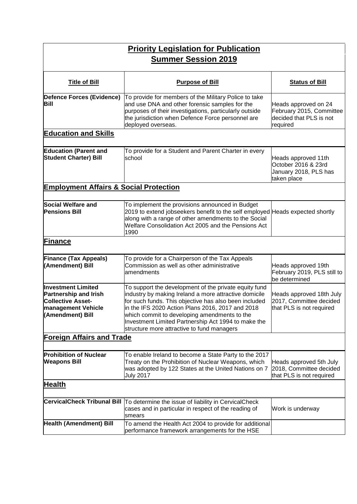| <b>Priority Legislation for Publication</b><br><b>Summer Session 2019</b>                                                               |                                                                                                                                                                                                                                                                                                                                                                                  |                                                                                         |  |
|-----------------------------------------------------------------------------------------------------------------------------------------|----------------------------------------------------------------------------------------------------------------------------------------------------------------------------------------------------------------------------------------------------------------------------------------------------------------------------------------------------------------------------------|-----------------------------------------------------------------------------------------|--|
| <b>Title of Bill</b>                                                                                                                    | <b>Purpose of Bill</b>                                                                                                                                                                                                                                                                                                                                                           | <b>Status of Bill</b>                                                                   |  |
| Defence Forces (Evidence)<br>Bill                                                                                                       | To provide for members of the Military Police to take<br>and use DNA and other forensic samples for the<br>purposes of their investigations, particularly outside<br>the jurisdiction when Defence Force personnel are<br>deployed overseas.                                                                                                                                     | Heads approved on 24<br>February 2015, Committee<br>decided that PLS is not<br>required |  |
| <b>Education and Skills</b>                                                                                                             |                                                                                                                                                                                                                                                                                                                                                                                  |                                                                                         |  |
| <b>Education (Parent and</b><br><b>Student Charter) Bill</b>                                                                            | To provide for a Student and Parent Charter in every<br>school                                                                                                                                                                                                                                                                                                                   | Heads approved 11th<br>October 2016 & 23rd<br>January 2018, PLS has<br>taken place      |  |
| <b>Employment Affairs &amp; Social Protection</b>                                                                                       |                                                                                                                                                                                                                                                                                                                                                                                  |                                                                                         |  |
| <b>Social Welfare and</b><br><b>Pensions Bill</b>                                                                                       | To implement the provisions announced in Budget<br>2019 to extend jobseekers benefit to the self employed Heads expected shortly<br>along with a range of other amendments to the Social<br>Welfare Consolidation Act 2005 and the Pensions Act<br>1990                                                                                                                          |                                                                                         |  |
| <b>Finance</b>                                                                                                                          |                                                                                                                                                                                                                                                                                                                                                                                  |                                                                                         |  |
| <b>Finance (Tax Appeals)</b><br>(Amendment) Bill                                                                                        | To provide for a Chairperson of the Tax Appeals<br>Commission as well as other administrative<br>amendments                                                                                                                                                                                                                                                                      | Heads approved 19th<br>February 2019, PLS still to<br>be determined                     |  |
| <b>Investment Limited</b><br><b>Partnership and Irish</b><br><b>Collective Asset-</b><br><b>Imanagement Vehicle</b><br>(Amendment) Bill | To support the development of the private equity fund<br>industry by making Ireland a more attractive domicile<br>for such funds. This objective has also been included<br>in the IFS 2020 Action Plans 2016, 2017 and 2018<br>which commit to developing amendments to the<br>Investment Limited Partnership Act 1994 to make the<br>structure more attractive to fund managers | Heads approved 18th July<br>2017, Committee decided<br>that PLS is not required         |  |
| <b>Foreign Affairs and Trade</b>                                                                                                        |                                                                                                                                                                                                                                                                                                                                                                                  |                                                                                         |  |
| <b>Prohibition of Nuclear</b><br><b>Weapons Bill</b>                                                                                    | To enable Ireland to become a State Party to the 2017<br>Treaty on the Prohibition of Nuclear Weapons, which<br>was adopted by 122 States at the United Nations on 7<br><b>July 2017</b>                                                                                                                                                                                         | Heads approved 5th July<br>2018, Committee decided<br>that PLS is not required          |  |
| <b>Health</b>                                                                                                                           |                                                                                                                                                                                                                                                                                                                                                                                  |                                                                                         |  |
|                                                                                                                                         | CervicalCheck Tribunal Bill  To determine the issue of liability in CervicalCheck<br>cases and in particular in respect of the reading of<br>smears                                                                                                                                                                                                                              | Work is underway                                                                        |  |
| <b>Health (Amendment) Bill</b>                                                                                                          | To amend the Health Act 2004 to provide for additional<br>performance framework arrangements for the HSE                                                                                                                                                                                                                                                                         |                                                                                         |  |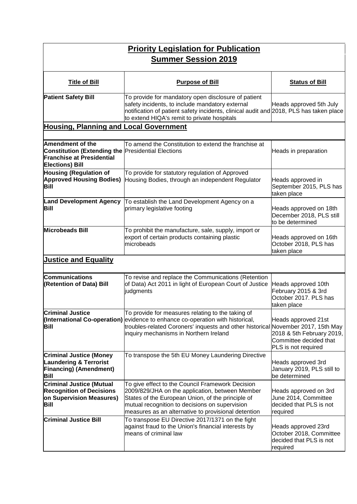| <b>Priority Legislation for Publication</b><br><b>Summer Session 2019</b>                                                                          |                                                                                                                                                                                                                                                                   |                                                                                                   |
|----------------------------------------------------------------------------------------------------------------------------------------------------|-------------------------------------------------------------------------------------------------------------------------------------------------------------------------------------------------------------------------------------------------------------------|---------------------------------------------------------------------------------------------------|
| <b>Title of Bill</b>                                                                                                                               | <b>Purpose of Bill</b>                                                                                                                                                                                                                                            | <b>Status of Bill</b>                                                                             |
| <b>Patient Safety Bill</b>                                                                                                                         | To provide for mandatory open disclosure of patient<br>safety incidents, to include mandatory external<br>notification of patient safety incidents, clinical audit and 2018, PLS has taken place<br>to extend HIQA's remit to private hospitals                   | Heads approved 5th July                                                                           |
| <b>Housing, Planning and Local Government</b>                                                                                                      |                                                                                                                                                                                                                                                                   |                                                                                                   |
| <b>Amendment of the</b><br><b>Constitution (Extending the Presidential Elections</b><br><b>Franchise at Presidential</b><br><b>Elections) Bill</b> | To amend the Constitution to extend the franchise at                                                                                                                                                                                                              | Heads in preparation                                                                              |
| <b>Housing (Regulation of</b><br><b>Approved Housing Bodies)</b><br><b>Bill</b>                                                                    | To provide for statutory regulation of Approved<br>Housing Bodies, through an independent Regulator                                                                                                                                                               | Heads approved in<br>September 2015, PLS has<br>taken place                                       |
| <b>Land Development Agency</b><br><b>Bill</b>                                                                                                      | To establish the Land Development Agency on a<br>primary legislative footing                                                                                                                                                                                      | Heads approved on 18th<br>December 2018, PLS still<br>to be determined                            |
| Microbeads Bill                                                                                                                                    | To prohibit the manufacture, sale, supply, import or<br>export of certain products containing plastic<br>microbeads                                                                                                                                               | Heads approved on 16th<br>October 2018, PLS has<br>taken place                                    |
| <b>Justice and Equality</b>                                                                                                                        |                                                                                                                                                                                                                                                                   |                                                                                                   |
| <b>Communications</b><br>(Retention of Data) Bill                                                                                                  | To revise and replace the Communications (Retention<br>of Data) Act 2011 in light of European Court of Justice<br>judgments                                                                                                                                       | Heads approved 10th<br>February 2015 & 3rd<br>October 2017. PLS has<br>taken place                |
| <b>Criminal Justice</b><br><b>Bill</b>                                                                                                             | To provide for measures relating to the taking of<br>(International Co-operation) evidence to enhance co-operation with historical,<br>troubles-related Coroners' inquests and other historical November 2017, 15th May<br>inquiry mechanisms in Northern Ireland | Heads approved 21st<br>2018 & 5th February 2019,<br>Committee decided that<br>PLS is not required |
| <b>Criminal Justice (Money</b><br><b>Laundering &amp; Terrorist</b><br><b>Financing) (Amendment)</b><br><b>Bill</b>                                | To transpose the 5th EU Money Laundering Directive                                                                                                                                                                                                                | Heads approved 3rd<br>January 2019, PLS still to<br>be determined                                 |
| <b>Criminal Justice (Mutual</b><br><b>Recognition of Decisions</b><br>on Supervision Measures)<br><b>Bill</b>                                      | To give effect to the Council Framework Decision<br>2009/829/JHA on the application, between Member<br>States of the European Union, of the principle of<br>mutual recognition to decisions on supervision<br>measures as an alternative to provisional detention | Heads approved on 3rd<br>June 2014, Committee<br>decided that PLS is not<br>required              |
| <b>Criminal Justice Bill</b>                                                                                                                       | To transpose EU Directive 2017/1371 on the fight<br>against fraud to the Union's financial interests by<br>means of criminal law                                                                                                                                  | Heads approved 23rd<br>October 2018, Committee<br>decided that PLS is not<br>required             |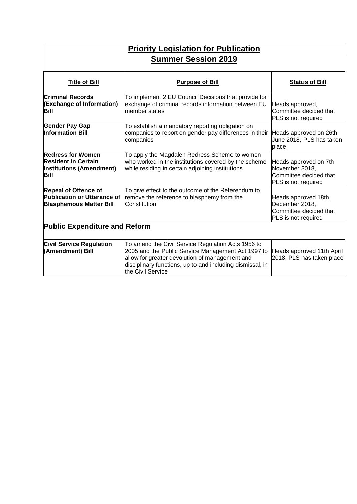| <b>Priority Legislation for Publication</b><br><b>Summer Session 2019</b>                           |                                                                                                                                                                                                                                              |                                                                                          |
|-----------------------------------------------------------------------------------------------------|----------------------------------------------------------------------------------------------------------------------------------------------------------------------------------------------------------------------------------------------|------------------------------------------------------------------------------------------|
| <b>Title of Bill</b>                                                                                | <b>Purpose of Bill</b>                                                                                                                                                                                                                       | <b>Status of Bill</b>                                                                    |
| <b>Criminal Records</b><br>(Exchange of Information)<br>Bill                                        | To implement 2 EU Council Decisions that provide for<br>exchange of criminal records information between EU<br>member states                                                                                                                 | Heads approved,<br>Committee decided that<br>PLS is not required                         |
| <b>Gender Pay Gap</b><br><b>Information Bill</b>                                                    | To establish a mandatory reporting obligation on<br>companies to report on gender pay differences in their<br>companies                                                                                                                      | Heads approved on 26th<br>June 2018, PLS has taken<br>place                              |
| Redress for Women<br><b>Resident in Certain</b><br><b>Institutions (Amendment)</b><br><b>Bill</b>   | To apply the Magdalen Redress Scheme to women<br>who worked in the institutions covered by the scheme<br>while residing in certain adjoining institutions                                                                                    | Heads approved on 7th<br>November 2018,<br>Committee decided that<br>PLS is not required |
| <b>Repeal of Offence of</b><br><b>Publication or Utterance of</b><br><b>Blasphemous Matter Bill</b> | To give effect to the outcome of the Referendum to<br>remove the reference to blasphemy from the<br>Constitution                                                                                                                             | Heads approved 18th<br>December 2018,<br>Committee decided that<br>PLS is not required   |
| <b>Public Expenditure and Reform</b>                                                                |                                                                                                                                                                                                                                              |                                                                                          |
| <b>Civil Service Regulation</b><br>(Amendment) Bill                                                 | To amend the Civil Service Regulation Acts 1956 to<br>2005 and the Public Service Management Act 1997 to<br>allow for greater devolution of management and<br>disciplinary functions, up to and including dismissal, in<br>the Civil Service | Heads approved 11th April<br>2018, PLS has taken place                                   |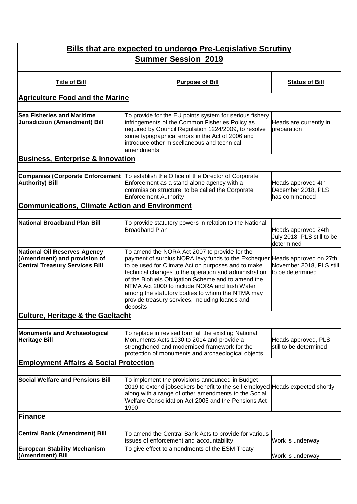| <b>Bills that are expected to undergo Pre-Legislative Scrutiny</b><br><b>Summer Session 2019</b>      |                                                                                                                                                                                                                                                                                                                                                                                                                                                                     |                                                                 |
|-------------------------------------------------------------------------------------------------------|---------------------------------------------------------------------------------------------------------------------------------------------------------------------------------------------------------------------------------------------------------------------------------------------------------------------------------------------------------------------------------------------------------------------------------------------------------------------|-----------------------------------------------------------------|
|                                                                                                       |                                                                                                                                                                                                                                                                                                                                                                                                                                                                     |                                                                 |
| <b>Title of Bill</b>                                                                                  | <b>Purpose of Bill</b>                                                                                                                                                                                                                                                                                                                                                                                                                                              | <b>Status of Bill</b>                                           |
| <b>Agriculture Food and the Marine</b>                                                                |                                                                                                                                                                                                                                                                                                                                                                                                                                                                     |                                                                 |
| <b>Sea Fisheries and Maritime</b><br><b>Jurisdiction (Amendment) Bill</b>                             | To provide for the EU points system for serious fishery<br>infringements of the Common Fisheries Policy as<br>required by Council Regulation 1224/2009, to resolve<br>some typographical errors in the Act of 2006 and<br>introduce other miscellaneous and technical<br>amendments                                                                                                                                                                                 | Heads are currently in<br>preparation                           |
| <b>Business, Enterprise &amp; Innovation</b>                                                          |                                                                                                                                                                                                                                                                                                                                                                                                                                                                     |                                                                 |
| <b>Authority) Bill</b>                                                                                | Companies (Corporate Enforcement   To establish the Office of the Director of Corporate<br>Enforcement as a stand-alone agency with a<br>commission structure, to be called the Corporate<br><b>Enforcement Authority</b>                                                                                                                                                                                                                                           | Heads approved 4th<br>December 2018, PLS<br>has commenced       |
| <b>Communications, Climate Action and Environment</b>                                                 |                                                                                                                                                                                                                                                                                                                                                                                                                                                                     |                                                                 |
| National Broadband Plan Bill                                                                          | To provide statutory powers in relation to the National<br>Broadband Plan                                                                                                                                                                                                                                                                                                                                                                                           | Heads approved 24th<br>July 2018, PLS still to be<br>determined |
| National Oil Reserves Agency<br>(Amendment) and provision of<br><b>Central Treasury Services Bill</b> | To amend the NORA Act 2007 to provide for the<br>payment of surplus NORA levy funds to the Exchequer Heads approved on 27th<br>to be used for Climate Action purposes and to make<br>technical changes to the operation and administration<br>of the Biofuels Obligation Scheme and to amend the<br>NTMA Act 2000 to include NORA and Irish Water<br>among the statutory bodies to whom the NTMA may<br>provide treasury services, including loands and<br>deposits | November 2018, PLS still<br>to be determined                    |
| <b>Culture, Heritage &amp; the Gaeltacht</b>                                                          |                                                                                                                                                                                                                                                                                                                                                                                                                                                                     |                                                                 |
| <b>Monuments and Archaeological</b><br><b>Heritage Bill</b>                                           | To replace in revised form all the existing National<br>Monuments Acts 1930 to 2014 and provide a<br>strengthened and modernised framework for the<br>protection of monuments and archaeological objects                                                                                                                                                                                                                                                            | Heads approved, PLS<br>still to be determined                   |
| <b>Employment Affairs &amp; Social Protection</b>                                                     |                                                                                                                                                                                                                                                                                                                                                                                                                                                                     |                                                                 |
| <b>Social Welfare and Pensions Bill</b>                                                               | To implement the provisions announced in Budget<br>2019 to extend jobseekers benefit to the self employed Heads expected shortly<br>along with a range of other amendments to the Social<br>Welfare Consolidation Act 2005 and the Pensions Act<br>1990                                                                                                                                                                                                             |                                                                 |
| <b>Finance</b>                                                                                        |                                                                                                                                                                                                                                                                                                                                                                                                                                                                     |                                                                 |
| <b>Central Bank (Amendment) Bill</b>                                                                  | To amend the Central Bank Acts to provide for various<br>issues of enforcement and accountability                                                                                                                                                                                                                                                                                                                                                                   | Work is underway                                                |
| <b>European Stability Mechanism</b><br>(Amendment) Bill                                               | To give effect to amendments of the ESM Treaty                                                                                                                                                                                                                                                                                                                                                                                                                      | Work is underway                                                |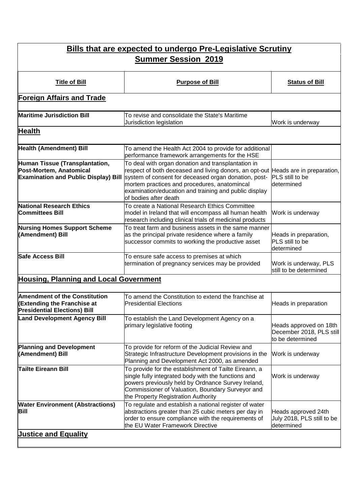| <b>Bills that are expected to undergo Pre-Legislative Scrutiny</b>                                                |                                                                                                                                                                                                                                                               |                                                                        |
|-------------------------------------------------------------------------------------------------------------------|---------------------------------------------------------------------------------------------------------------------------------------------------------------------------------------------------------------------------------------------------------------|------------------------------------------------------------------------|
| <b>Summer Session 2019</b>                                                                                        |                                                                                                                                                                                                                                                               |                                                                        |
| <b>Title of Bill</b>                                                                                              | <b>Purpose of Bill</b>                                                                                                                                                                                                                                        | <b>Status of Bill</b>                                                  |
| <b>Foreign Affairs and Trade</b>                                                                                  |                                                                                                                                                                                                                                                               |                                                                        |
| <b>Maritime Jurisdiction Bill</b>                                                                                 | To revise and consolidate the State's Maritime<br>Jurisdiction legislation                                                                                                                                                                                    | Work is underway                                                       |
| <b>Health</b>                                                                                                     |                                                                                                                                                                                                                                                               |                                                                        |
| Health (Amendment) Bill<br>Human Tissue (Transplantation,<br>Post-Mortem, Anatomical                              | To amend the Health Act 2004 to provide for additional<br>performance framework arrangements for the HSE<br>To deal with organ donation and transplantation in<br>respect of both deceased and living donors, an opt-out Heads are in preparation,            |                                                                        |
| <b>Examination and Public Display) Bill</b>                                                                       | system of consent for deceased organ donation, post-<br>mortem practices and procedures, anatomincal<br>examination/education and training and public display<br>of bodies after death                                                                        | PLS still to be<br>determined                                          |
| National Research Ethics<br><b>Committees Bill</b>                                                                | To create a National Research Ethics Committee<br>model in Ireland that will encompass all human health<br>research including clinical trials of medicinal products                                                                                           | Work is underway                                                       |
| <b>Nursing Homes Support Scheme</b><br>(Amendment) Bill                                                           | To treat farm and business assets in the same manner<br>as the principal private residence where a family<br>successor commits to working the productive asset                                                                                                | Heads in preparation,<br>PLS still to be<br>determined                 |
| <b>Safe Access Bill</b>                                                                                           | To ensure safe access to premises at which<br>termination of pregnancy services may be provided                                                                                                                                                               | Work is underway, PLS<br>still to be determined                        |
| <b>Housing, Planning and Local Government</b>                                                                     |                                                                                                                                                                                                                                                               |                                                                        |
| <b>Amendment of the Constitution</b><br><b>(Extending the Franchise at</b><br><b>Presidential Elections) Bill</b> | To amend the Constitution to extend the franchise at<br><b>Presidential Elections</b>                                                                                                                                                                         | Heads in preparation                                                   |
| <b>Land Development Agency Bill</b>                                                                               | To establish the Land Development Agency on a<br>primary legislative footing                                                                                                                                                                                  | Heads approved on 18th<br>December 2018, PLS still<br>to be determined |
| <b>Planning and Development</b><br>(Amendment) Bill                                                               | To provide for reform of the Judicial Review and<br>Strategic Infrastructure Development provisions in the<br>Planning and Development Act 2000, as amended                                                                                                   | Work is underway                                                       |
| <b>Tailte Eireann Bill</b>                                                                                        | To provide for the establishment of Tailte Eireann, a<br>single fully integrated body with the functions and<br>powers previously held by Ordnance Survey Ireland,<br>Commissioner of Valuation, Boundary Surveyor and<br>the Property Registration Authority | Work is underway                                                       |
| <b>Water Environment (Abstractions)</b><br>Bill                                                                   | To regulate and establish a national register of water<br>abstractions greater than 25 cubic meters per day in<br>order to ensure compliance with the requirements of<br>the EU Water Framework Directive                                                     | Heads approved 24th<br>July 2018, PLS still to be<br>determined        |
| <b>Justice and Equality</b>                                                                                       |                                                                                                                                                                                                                                                               |                                                                        |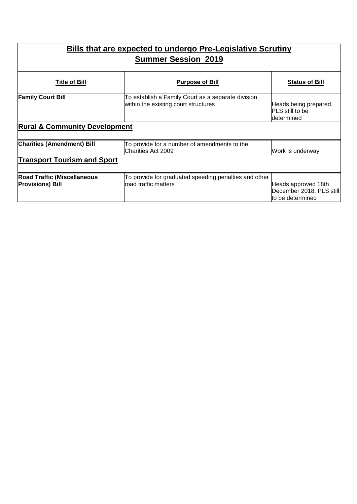| <b>Bills that are expected to undergo Pre-Legislative Scrutiny</b><br><b>Summer Session 2019</b> |                                                                                            |                                                                     |
|--------------------------------------------------------------------------------------------------|--------------------------------------------------------------------------------------------|---------------------------------------------------------------------|
| <b>Title of Bill</b>                                                                             | <u>Purpose of Bill</u>                                                                     | <b>Status of Bill</b>                                               |
| <b>Family Court Bill</b>                                                                         | To establish a Family Court as a separate division<br>within the existing court structures | Heads being prepared,<br><b>PLS</b> still to be<br>ldetermined      |
| <b>Rural &amp; Community Development</b>                                                         |                                                                                            |                                                                     |
| <b>Charities (Amendment) Bill</b>                                                                | To provide for a number of amendments to the<br><b>Charities Act 2009</b>                  | Work is underway                                                    |
| <b>Transport Tourism and Sport</b>                                                               |                                                                                            |                                                                     |
| <b>Road Traffic (Miscellaneous</b><br><b>Provisions) Bill</b>                                    | To provide for graduated speeding penalties and other<br>road traffic matters              | Heads approved 18th<br>December 2018, PLS still<br>to be determined |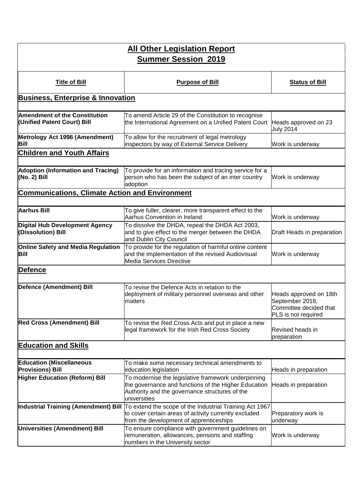| <b>All Other Legislation Report</b><br><b>Summer Session 2019</b>   |                                                                                                                                                                                                   |                                                                                            |
|---------------------------------------------------------------------|---------------------------------------------------------------------------------------------------------------------------------------------------------------------------------------------------|--------------------------------------------------------------------------------------------|
|                                                                     |                                                                                                                                                                                                   |                                                                                            |
| <b>Title of Bill</b>                                                | <b>Purpose of Bill</b>                                                                                                                                                                            | <b>Status of Bill</b>                                                                      |
| <b>Business, Enterprise &amp; Innovation</b>                        |                                                                                                                                                                                                   |                                                                                            |
| <b>Amendment of the Constitution</b><br>(Unified Patent Court) Bill | To amend Article 29 of the Constitution to recognise<br>the International Agreement on a Unified Patent Court                                                                                     | Heads approved on 23<br><b>July 2014</b>                                                   |
| Metrology Act 1996 (Amendment)<br>Bill                              | To allow for the recruitment of legal metrology<br>inspectors by way of External Service Delivery                                                                                                 | Work is underway                                                                           |
| <b>Children and Youth Affairs</b>                                   |                                                                                                                                                                                                   |                                                                                            |
| <b>Adoption (Information and Tracing)</b><br>(No. 2) Bill           | To provide for an information and tracing service for a<br>person who has been the subject of an inter country<br>adoption                                                                        | Work is underway                                                                           |
| <b>Communications, Climate Action and Environment</b>               |                                                                                                                                                                                                   |                                                                                            |
| <b>Aarhus Bill</b>                                                  | To give fuller, clearer, more transparent effect to the<br>Aarhus Convention in Ireland                                                                                                           | Work is underway                                                                           |
| Digital Hub Development Agency<br>(Dissolution) Bill                | To dissolve the DHDA, repeal the DHDA Act 2003,<br>and to give effect to the merger between the DHDA<br>and Dublin City Council                                                                   | Draft Heads in preparation                                                                 |
| <b>Online Safety and Media Regulation</b><br>Bill                   | To provide for the regulation of harmful online content<br>and the implementation of the revised Audiovisual<br><b>Media Services Directive</b>                                                   | Work is underway                                                                           |
| Defence                                                             |                                                                                                                                                                                                   |                                                                                            |
| Defence (Amendment) Bill                                            | To revise the Defence Acts in relation to the<br>deployment of military personnel overseas and other<br>matters                                                                                   | Heads approved on 18th<br>September 2018,<br>Committee decided that<br>PLS is not required |
| <b>Red Cross (Amendment) Bill</b>                                   | To revise the Red Cross Acts and put in place a new<br>legal framework for the Irish Red Cross Society                                                                                            | Revised heads in<br>preparation                                                            |
| <b>Education and Skills</b>                                         |                                                                                                                                                                                                   |                                                                                            |
| <b>Education (Miscellaneous</b><br><b>Provisions) Bill</b>          | To make some necessary technical amendments to<br>education legislation                                                                                                                           | Heads in preparation                                                                       |
| <b>Higher Education (Reform) Bill</b>                               | To modernise the legislative framework underpinning<br>the governance and functions of the Higher Education<br>Authority and the governance structures of the<br>universities                     | Heads in preparation                                                                       |
|                                                                     | Industrial Training (Amendment) Bill  To extend the scope of the Industrial Training Act 1967<br>to cover certain areas of activity currently excluded<br>from the development of apprenticeships | Preparatory work is<br>underway                                                            |
| <b>Universities (Amendment) Bill</b>                                | To ensure compliance with government guidelines on<br>remuneration, allowances, pensions and staffing<br>numbers in the University sector                                                         | Work is underway                                                                           |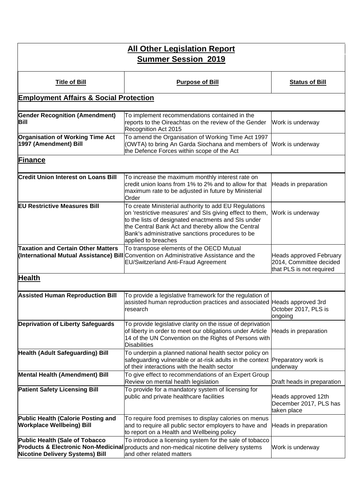| <b>All Other Legislation Report</b><br><b>Summer Session 2019</b>        |                                                                                                                                                                                                                                                                                                           |                                                                                       |
|--------------------------------------------------------------------------|-----------------------------------------------------------------------------------------------------------------------------------------------------------------------------------------------------------------------------------------------------------------------------------------------------------|---------------------------------------------------------------------------------------|
|                                                                          |                                                                                                                                                                                                                                                                                                           |                                                                                       |
| <b>Title of Bill</b>                                                     | <b>Purpose of Bill</b>                                                                                                                                                                                                                                                                                    | <b>Status of Bill</b>                                                                 |
| <b>Employment Affairs &amp; Social Protection</b>                        |                                                                                                                                                                                                                                                                                                           |                                                                                       |
| <b>Gender Recognition (Amendment)</b><br><b>Bill</b>                     | To implement recommendations contained in the<br>reports to the Oireachtas on the review of the Gender<br>Recognition Act 2015                                                                                                                                                                            | Work is underway                                                                      |
| <b>Organisation of Working Time Act</b><br>1997 (Amendment) Bill         | To amend the Organisation of Working Time Act 1997<br>(OWTA) to bring An Garda Siochana and members of Work is underway<br>the Defence Forces within scope of the Act                                                                                                                                     |                                                                                       |
| <b>Finance</b>                                                           |                                                                                                                                                                                                                                                                                                           |                                                                                       |
| <b>Credit Union Interest on Loans Bill</b>                               | To increase the maximum monthly interest rate on<br>credit union loans from 1% to 2% and to allow for that<br>maximum rate to be adjusted in future by Ministerial<br>Order                                                                                                                               | Heads in preparation                                                                  |
| <b>EU Restrictive Measures Bill</b>                                      | To create Ministerial authority to add EU Regulations<br>on 'restrictive measures' and SIs giving effect to them,<br>to the lists of designated enactments and SIs under<br>the Central Bank Act and thereby allow the Central<br>Bank's administrative sanctions procedures to be<br>applied to breaches | Work is underway                                                                      |
| <b>Taxation and Certain Other Matters</b>                                | To transpose elements of the OECD Mutual<br>(International Mutual Assistance) Bill Convention on Administrative Assistance and the<br><b>EU/Switzerland Anti-Fraud Agreement</b>                                                                                                                          | <b>Heads approved February</b><br>2014, Committee decided<br>that PLS is not required |
| <b>Health</b>                                                            |                                                                                                                                                                                                                                                                                                           |                                                                                       |
| <b>Assisted Human Reproduction Bill</b>                                  | To provide a legislative framework for the regulation of<br>assisted human reproduction practices and associated Heads approved 3rd<br>research                                                                                                                                                           | October 2017, PLS is<br>ongoing                                                       |
| Deprivation of Liberty Safeguards                                        | To provide legislative clarity on the issue of deprivation<br>of liberty in order to meet our obligations under Article<br>14 of the UN Convention on the Rights of Persons with<br><b>Disabilities</b>                                                                                                   | Heads in preparation                                                                  |
| <b>Health (Adult Safeguarding) Bill</b>                                  | To underpin a planned national health sector policy on<br>safeguarding vulnerable or at-risk adults in the context Preparatory work is<br>of their interactions with the health sector                                                                                                                    | underway                                                                              |
| <b>Mental Health (Amendment) Bill</b>                                    | To give effect to recommendations of an Expert Group<br>Review on mental health legislation                                                                                                                                                                                                               | Draft heads in preparation                                                            |
| <b>Patient Safety Licensing Bill</b>                                     | To provide for a mandatory system of licensing for<br>public and private healthcare facilities                                                                                                                                                                                                            | Heads approved 12th<br>December 2017, PLS has<br>taken place                          |
| Public Health (Calorie Posting and<br><b>Workplace Wellbeing) Bill</b>   | To require food premises to display calories on menus<br>and to require all public sector employers to have and<br>to report on a Health and Wellbeing policy                                                                                                                                             | Heads in preparation                                                                  |
| Public Health (Sale of Tobacco<br><b>Nicotine Delivery Systems) Bill</b> | To introduce a licensing system for the sale of tobacco<br>Products & Electronic Non-Medicinal products and non-medical nicotine delivery systems<br>and other related matters                                                                                                                            | Work is underway                                                                      |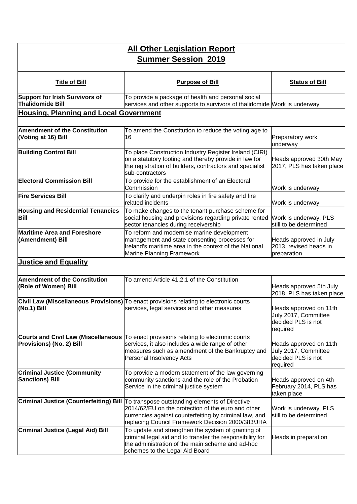| <b>All Other Legislation Report</b><br><b>Summer Session 2019</b> |                                                                                                                                                                                                                                                            |                                                                                  |
|-------------------------------------------------------------------|------------------------------------------------------------------------------------------------------------------------------------------------------------------------------------------------------------------------------------------------------------|----------------------------------------------------------------------------------|
| <b>Title of Bill</b>                                              | <b>Purpose of Bill</b>                                                                                                                                                                                                                                     | <b>Status of Bill</b>                                                            |
| <b>Support for Irish Survivors of</b><br><b>Thalidomide Bill</b>  | To provide a package of health and personal social<br>services and other supports to survivors of thalidomide Work is underway                                                                                                                             |                                                                                  |
| <b>Housing, Planning and Local Government</b>                     |                                                                                                                                                                                                                                                            |                                                                                  |
| <b>Amendment of the Constitution</b><br>(Voting at 16) Bill       | To amend the Constitution to reduce the voting age to<br>16                                                                                                                                                                                                | Preparatory work<br>underway                                                     |
| <b>Building Control Bill</b>                                      | To place Construction Industry Register Ireland (CIRI)<br>on a statutory footing and thereby provide in law for<br>the registration of builders, contractors and specialist<br>sub-contractors                                                             | Heads approved 30th May<br>2017, PLS has taken place                             |
| <b>Electoral Commission Bill</b>                                  | To provide for the establishment of an Electoral<br>Commission                                                                                                                                                                                             | Work is underway                                                                 |
| <b>Fire Services Bill</b>                                         | To clarify and underpin roles in fire safety and fire<br>related incidents                                                                                                                                                                                 | Work is underway                                                                 |
| <b>Housing and Residential Tenancies</b><br>Bill                  | To make changes to the tenant purchase scheme for<br>social housing and provisions regarding private rented<br>sector tenancies during receivership                                                                                                        | Work is underway, PLS<br>still to be determined                                  |
| <b>Maritime Area and Foreshore</b><br>(Amendment) Bill            | To reform and modernise marine development<br>management and state consenting processes for<br>Ireland's maritime area in the context of the National<br>Marine Planning Framework                                                                         | Heads approved in July<br>2013, revised heads in<br>preparation                  |
| <b>Justice and Equality</b>                                       |                                                                                                                                                                                                                                                            |                                                                                  |
| <b>Amendment of the Constitution</b><br>(Role of Women) Bill      | To amend Article 41.2.1 of the Constitution                                                                                                                                                                                                                | Heads approved 5th July<br>2018, PLS has taken place                             |
| (No.1) Bill                                                       | Civil Law (Miscellaneous Provisions) To enact provisions relating to electronic courts<br>services, legal services and other measures                                                                                                                      | Heads approved on 11th<br>July 2017, Committee<br>decided PLS is not<br>required |
| <b>Provisions) (No. 2) Bill</b>                                   | Courts and Civil Law (Miscellaneous To enact provisions relating to electronic courts<br>services, it also includes a wide range of other<br>measures such as amendment of the Bankruptcy and<br>Personal Insolvency Acts                                  | Heads approved on 11th<br>July 2017, Committee<br>decided PLS is not<br>required |
| <b>Criminal Justice (Community</b><br><b>Sanctions) Bill</b>      | To provide a modern statement of the law governing<br>community sanctions and the role of the Probation<br>Service in the criminal justice system                                                                                                          | Heads approved on 4th<br>February 2014, PLS has<br>taken place                   |
|                                                                   | Criminal Justice (Counterfeiting) Bill To transpose outstanding elements of Directive<br>2014/62/EU on the protection of the euro and other<br>currencies against counterfeiting by criminal law, and<br>replacing Council Framework Decision 2000/383/JHA | Work is underway, PLS<br>still to be determined                                  |
| <b>Criminal Justice (Legal Aid) Bill</b>                          | To update and strengthen the system of granting of<br>criminal legal aid and to transfer the responsibility for<br>the administration of the main scheme and ad-hoc<br>schemes to the Legal Aid Board                                                      | Heads in preparation                                                             |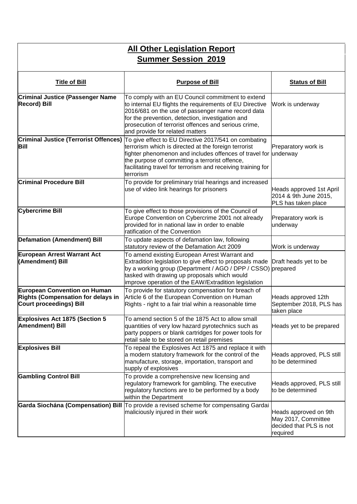| <b>All Other Legislation Report</b><br><b>Summer Session 2019</b>                                                  |                                                                                                                                                                                                                                                                                                                  |                                                                                     |
|--------------------------------------------------------------------------------------------------------------------|------------------------------------------------------------------------------------------------------------------------------------------------------------------------------------------------------------------------------------------------------------------------------------------------------------------|-------------------------------------------------------------------------------------|
| <b>Title of Bill</b>                                                                                               | <b>Purpose of Bill</b>                                                                                                                                                                                                                                                                                           | <b>Status of Bill</b>                                                               |
| <b>Criminal Justice (Passenger Name</b><br><b>Record) Bill</b>                                                     | To comply with an EU Council commitment to extend<br>to internal EU flights the requirements of EU Directive<br>2016/681 on the use of passenger name record data<br>for the prevention, detection, investigation and<br>prosecution of terrorist offences and serious crime,<br>and provide for related matters | Work is underway                                                                    |
| <b>Criminal Justice (Terrorist Offences)</b><br>Bill                                                               | To give effect to EU Directive 2017/541 on combating<br>terrorism which is directed at the foreign terrorist<br>fighter phenomenon and includes offences of travel for underway<br>the purpose of committing a terrorist offence,<br>facilitating travel for terrorism and receiving training for<br>terrorism   | Preparatory work is                                                                 |
| <b>Criminal Procedure Bill</b>                                                                                     | To provide for preliminary trial hearings and increased<br>use of video link hearings for prisoners                                                                                                                                                                                                              | Heads approved 1st April<br>2014 & 9th June 2015,<br>PLS has taken place            |
| <b>Cybercrime Bill</b>                                                                                             | To give effect to those provisions of the Council of<br>Europe Convention on Cybercrime 2001 not already<br>provided for in national law in order to enable<br>ratification of the Convention                                                                                                                    | Preparatory work is<br>underway                                                     |
| <b>Defamation (Amendment) Bill</b>                                                                                 | To update aspects of defamation law, following<br>statutory review of the Defamation Act 2009                                                                                                                                                                                                                    | Work is underway                                                                    |
| European Arrest Warrant Act<br>(Amendment) Bill                                                                    | To amend existing European Arrest Warrant and<br>Extradition legislation to give effect to proposals made<br>by a working group (Department / AGO / DPP / CSSO) prepared<br>tasked with drawing up proposals which would<br>improve operation of the EAW/Extradition legislation                                 | Draft heads yet to be                                                               |
| <b>European Convention on Human</b><br><b>Rights (Compensation for delays in</b><br><b>Court proceedings) Bill</b> | To provide for statutory compensation for breach of<br>Article 6 of the European Convention on Human<br>Rights - right to a fair trial wihin a reasonable time                                                                                                                                                   | Heads approved 12th<br>September 2018, PLS has<br>taken place                       |
| <b>Explosives Act 1875 (Section 5</b><br><b>Amendment</b> ) Bill                                                   | To amend section 5 of the 1875 Act to allow small<br>quantities of very low hazard pyrotechnics such as<br>party poppers or blank cartridges for power tools for<br>retail sale to be stored on retail premises                                                                                                  | Heads yet to be prepared                                                            |
| <b>Explosives Bill</b>                                                                                             | To repeal the Explosives Act 1875 and replace it with<br>a modern statutory framework for the control of the<br>manufacture, storage, importation, transport and<br>supply of explosives                                                                                                                         | Heads approved, PLS still<br>to be determined                                       |
| <b>Gambling Control Bill</b>                                                                                       | To provide a comprehensive new licensing and<br>regulatory framework for gambling. The executive<br>regulatory functions are to be performed by a body<br>within the Department                                                                                                                                  | Heads approved, PLS still<br>to be determined                                       |
|                                                                                                                    | Garda Siochána (Compensation) Bill To provide a revised scheme for compensating Gardai<br>maliciously injured in their work                                                                                                                                                                                      | Heads approved on 9th<br>May 2017, Committee<br>decided that PLS is not<br>required |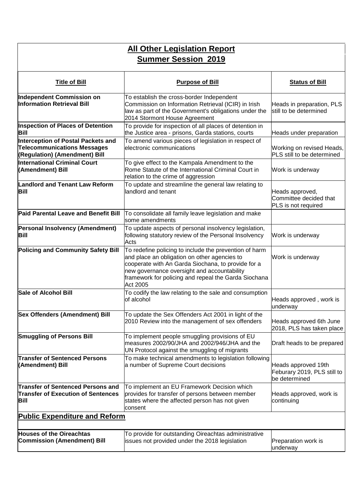#### **All Other Legislation Report Summer Session 2019**

| <b>Title of Bill</b>                                                                                             | <b>Purpose of Bill</b>                                                                                                                                                                                                                                                          | <b>Status of Bill</b>                                               |
|------------------------------------------------------------------------------------------------------------------|---------------------------------------------------------------------------------------------------------------------------------------------------------------------------------------------------------------------------------------------------------------------------------|---------------------------------------------------------------------|
| Independent Commission on<br><b>Information Retrieval Bill</b>                                                   | To establish the cross-border Independent<br>Commission on Information Retrieval (ICIR) in Irish<br>law as part of the Government's obligations under the<br>2014 Stormont House Agreement                                                                                      | Heads in preparation, PLS<br>still to be determined                 |
| <b>Inspection of Places of Detention</b><br><b>Bill</b>                                                          | To provide for inspection of all places of detention in<br>the Justice area - prisons, Garda stations, courts                                                                                                                                                                   | Heads under preparation                                             |
| <b>Interception of Postal Packets and</b><br><b>Telecommunications Messages</b><br>(Regulation) (Amendment) Bill | To amend various pieces of legislation in respect of<br>electronic communications                                                                                                                                                                                               | Working on revised Heads,<br>PLS still to be determined             |
| International Criminal Court<br>(Amendment) Bill                                                                 | To give effect to the Kampala Amendment to the<br>Rome Statute of the International Criminal Court in<br>relation to the crime of aggression                                                                                                                                    | Work is underway                                                    |
| <b>Landlord and Tenant Law Reform</b><br>Bill                                                                    | To update and streamline the general law relating to<br>landlord and tenant                                                                                                                                                                                                     | Heads approved,<br>Committee decided that<br>PLS is not required    |
| Paid Parental Leave and Benefit Bill                                                                             | To consolidate all family leave legislation and make<br>some amendments                                                                                                                                                                                                         |                                                                     |
| <b>Personal Insolvency (Amendment)</b><br>Bill                                                                   | To update aspects of personal insolvency legislation,<br>following statutory review of the Personal Insolvency<br>Acts                                                                                                                                                          | Work is underway                                                    |
| <b>Policing and Community Safety Bill</b>                                                                        | To redefine policing to include the prevention of harm<br>and place an obligation on other agencies to<br>cooperate with An Garda Siochana, to provide for a<br>new governance oversight and accountability<br>framework for policing and repeal the Garda Siochana<br>Act 2005 | Work is underway                                                    |
| <b>Sale of Alcohol Bill</b>                                                                                      | To codify the law relating to the sale and consumption<br>of alcohol                                                                                                                                                                                                            | Heads approved, work is<br>underway                                 |
| <b>Sex Offenders (Amendment) Bill</b>                                                                            | To update the Sex Offenders Act 2001 in light of the<br>2010 Review into the management of sex offenders                                                                                                                                                                        | Heads approved 6th June<br>2018, PLS has taken place                |
| <b>Smuggling of Persons Bill</b>                                                                                 | To implement people smuggling provisions of EU<br>measures 2002/90/JHA and 2002/946/JHA and the<br>UN Protocol against the smuggling of migrants                                                                                                                                | Draft heads to be prepared                                          |
| <b>Transfer of Sentenced Persons</b><br>(Amendment) Bill                                                         | To make technical amendments to legislation following<br>a number of Supreme Court decisions                                                                                                                                                                                    | Heads approved 19th<br>Feburary 2019, PLS still to<br>be determined |
| <b>Transfer of Sentenced Persons and</b><br><b>Transfer of Execution of Sentences</b><br><b>Bill</b>             | To implement an EU Framework Decision which<br>provides for transfer of persons between member<br>states where the affected person has not given<br>consent                                                                                                                     | Heads approved, work is<br>continuing                               |
| <b>Public Expenditure and Reform</b>                                                                             |                                                                                                                                                                                                                                                                                 |                                                                     |
| <b>Houses of the Oireachtas</b><br><b>Commission (Amendment) Bill</b>                                            | To provide for outstanding Oireachtas administrative<br>issues not provided under the 2018 legislation                                                                                                                                                                          | Preparation work is<br>underway                                     |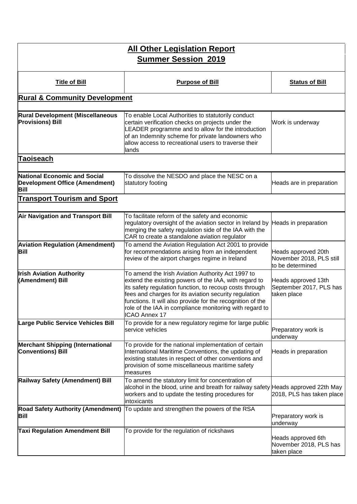| <b>All Other Legislation Report</b><br><b>Summer Session 2019</b>                           |                                                                                                                                                                                                                                                                                                                                                                                 |                                                                     |  |  |
|---------------------------------------------------------------------------------------------|---------------------------------------------------------------------------------------------------------------------------------------------------------------------------------------------------------------------------------------------------------------------------------------------------------------------------------------------------------------------------------|---------------------------------------------------------------------|--|--|
| <b>Title of Bill</b>                                                                        | <b>Purpose of Bill</b>                                                                                                                                                                                                                                                                                                                                                          | <b>Status of Bill</b>                                               |  |  |
| <b>Rural &amp; Community Development</b>                                                    |                                                                                                                                                                                                                                                                                                                                                                                 |                                                                     |  |  |
| <b>Rural Development (Miscellaneous</b><br><b>Provisions) Bill</b>                          | To enable Local Authorities to statutorily conduct<br>certain verification checks on projects under the<br>LEADER programme and to allow for the introduction<br>of an Indemnity scheme for private landowners who<br>allow access to recreational users to traverse their<br>lands                                                                                             | Work is underway                                                    |  |  |
| <b>Taoiseach</b>                                                                            |                                                                                                                                                                                                                                                                                                                                                                                 |                                                                     |  |  |
| <b>National Economic and Social</b><br><b>Development Office (Amendment)</b><br><b>Bill</b> | To dissolve the NESDO and place the NESC on a<br>statutory footing                                                                                                                                                                                                                                                                                                              | Heads are in preparation                                            |  |  |
| <b>Transport Tourism and Sport</b>                                                          |                                                                                                                                                                                                                                                                                                                                                                                 |                                                                     |  |  |
| <b>Air Navigation and Transport Bill</b>                                                    | To facilitate reform of the safety and economic<br>regulatory oversight of the aviation sector in Ireland by Heads in preparation<br>merging the safety regulation side of the IAA with the<br>CAR to create a standalone aviation regulator                                                                                                                                    |                                                                     |  |  |
| <b>Aviation Regulation (Amendment)</b><br><b>Bill</b>                                       | To amend the Aviation Regulation Act 2001 to provide<br>for recommendations arising from an independent<br>review of the airport charges regime in Ireland                                                                                                                                                                                                                      | Heads approved 20th<br>November 2018, PLS still<br>to be determined |  |  |
| <b>Irish Aviation Authority</b><br>(Amendment) Bill                                         | To amend the Irish Aviation Authority Act 1997 to<br>extend the existing powers of the IAA, with regard to<br>its safety regulation function, to recoup costs through<br>fees and charges for its aviation security regulation<br>functions. It will also provide for the recognition of the<br>role of the IAA in compliance monitoring with regard to<br><b>ICAO Annex 17</b> | Heads approved 13th<br>September 2017, PLS has<br>taken place       |  |  |
| Large Public Service Vehicles Bill                                                          | To provide for a new regulatory regime for large public<br>service vehicles                                                                                                                                                                                                                                                                                                     | Preparatory work is<br>underway                                     |  |  |
| <b>Merchant Shipping (International</b><br><b>Conventions) Bill</b>                         | To provide for the national implementation of certain<br>International Maritime Conventions, the updating of<br>existing statutes in respect of other conventions and<br>provision of some miscellaneous maritime safety<br>measures                                                                                                                                            | Heads in preparation                                                |  |  |
| Railway Safety (Amendment) Bill                                                             | To amend the statutory limit for concentration of<br>alcohol in the blood, urine and breath for railway safety Heads approved 22th May<br>workers and to update the testing procedures for<br>intoxicants                                                                                                                                                                       | 2018, PLS has taken place                                           |  |  |
| <b>Bill</b>                                                                                 | Road Safety Authority (Amendment) To update and strengthen the powers of the RSA                                                                                                                                                                                                                                                                                                | Preparatory work is<br>underway                                     |  |  |
| <b>Taxi Regulation Amendment Bill</b>                                                       | To provide for the regulation of rickshaws                                                                                                                                                                                                                                                                                                                                      | Heads approved 6th<br>November 2018, PLS has<br>taken place         |  |  |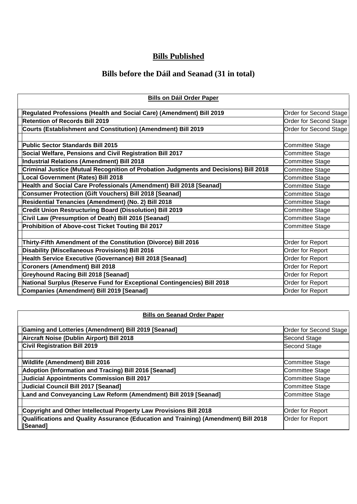### **Bills Published**

## **Bills before the Dáil and Seanad (31 in total)**

| <b>Bills on Dáil Order Paper</b>                                                     |                        |  |
|--------------------------------------------------------------------------------------|------------------------|--|
| Regulated Professions (Health and Social Care) (Amendment) Bill 2019                 | Order for Second Stage |  |
| <b>Retention of Records Bill 2019</b>                                                | Order for Second Stage |  |
| Courts (Establishment and Constitution) (Amendment) Bill 2019                        | Order for Second Stage |  |
| <b>Public Sector Standards Bill 2015</b>                                             | Committee Stage        |  |
| Social Welfare, Pensions and Civil Registration Bill 2017                            | Committee Stage        |  |
| <b>Industrial Relations (Amendment) Bill 2018</b>                                    | Committee Stage        |  |
|                                                                                      |                        |  |
| Criminal Justice (Mutual Recognition of Probation Judgments and Decisions) Bill 2018 | Committee Stage        |  |
| Local Government (Rates) Bill 2018                                                   | Committee Stage        |  |
| Health and Social Care Professionals (Amendment) Bill 2018 [Seanad]                  | Committee Stage        |  |
| Consumer Protection (Gift Vouchers) Bill 2018 [Seanad]                               | Committee Stage        |  |
| Residential Tenancies (Amendment) (No. 2) Bill 2018                                  | Committee Stage        |  |
| <b>Credit Union Restructuring Board (Dissolution) Bill 2019</b>                      | Committee Stage        |  |
| Civil Law (Presumption of Death) Bill 2016 [Seanad]                                  | Committee Stage        |  |
| Prohibition of Above-cost Ticket Touting Bil 2017                                    | Committee Stage        |  |
|                                                                                      |                        |  |
| Thirty-Fifth Amendment of the Constitution (Divorce) Bill 2016                       | Order for Report       |  |
| <b>Disability (Miscellaneous Provisions) Bill 2016</b>                               | Order for Report       |  |
| Health Service Executive (Governance) Bill 2018 [Seanad]                             | Order for Report       |  |
| Coroners (Amendment) Bill 2018                                                       | Order for Report       |  |
| <b>Greyhound Racing Bill 2018 [Seanad]</b>                                           | Order for Report       |  |
| National Surplus (Reserve Fund for Exceptional Contingencies) Bill 2018              | Order for Report       |  |
| Companies (Amendment) Bill 2019 [Seanad]                                             | Order for Report       |  |

#### **Bills on Dáil Order Paper**

| <b>Bills on Seanad Order Paper</b> |
|------------------------------------|
|------------------------------------|

| Gaming and Lotteries (Amendment) Bill 2019 [Seanad]                                             | Order for Second Stage  |
|-------------------------------------------------------------------------------------------------|-------------------------|
| Aircraft Noise (Dublin Airport) Bill 2018                                                       | Second Stage            |
| <b>Civil Registration Bill 2019</b>                                                             | Second Stage            |
|                                                                                                 |                         |
| <b>Wildlife (Amendment) Bill 2016</b>                                                           | Committee Stage         |
| Adoption (Information and Tracing) Bill 2016 [Seanad]                                           | Committee Stage         |
| Judicial Appointments Commission Bill 2017                                                      | Committee Stage         |
| Judicial Council Bill 2017 [Seanad]                                                             | Committee Stage         |
| Land and Conveyancing Law Reform (Amendment) Bill 2019 [Seanad]                                 | Committee Stage         |
|                                                                                                 |                         |
| Copyright and Other Intellectual Property Law Provisions Bill 2018                              | <b>Order for Report</b> |
| Qualifications and Quality Assurance (Education and Training) (Amendment) Bill 2018<br>[Seanad] | <b>Order for Report</b> |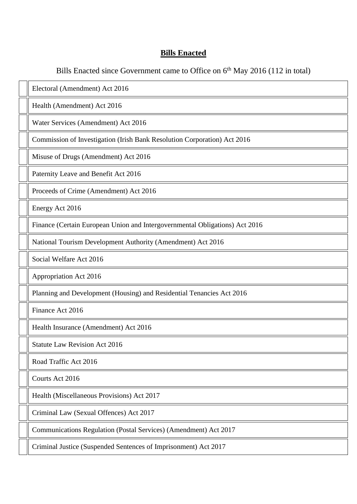#### **Bills Enacted**

Bills Enacted since Government came to Office on 6<sup>th</sup> May 2016 (112 in total)

Electoral (Amendment) Act 2016 Health (Amendment) Act 2016 Water Services (Amendment) Act 2016 Commission of Investigation (Irish Bank Resolution Corporation) Act 2016 Misuse of Drugs (Amendment) Act 2016 Paternity Leave and Benefit Act 2016 Proceeds of Crime (Amendment) Act 2016 Energy Act 2016 Finance (Certain European Union and Intergovernmental Obligations) Act 2016 National Tourism Development Authority (Amendment) Act 2016 Social Welfare Act 2016 Appropriation Act 2016 Planning and Development (Housing) and Residential Tenancies Act 2016 Finance Act 2016 Health Insurance (Amendment) Act 2016 Statute Law Revision Act 2016 Road Traffic Act 2016 Courts Act 2016

Health (Miscellaneous Provisions) Act 2017

Criminal Law (Sexual Offences) Act 2017

Communications Regulation (Postal Services) (Amendment) Act 2017

Criminal Justice (Suspended Sentences of Imprisonment) Act 2017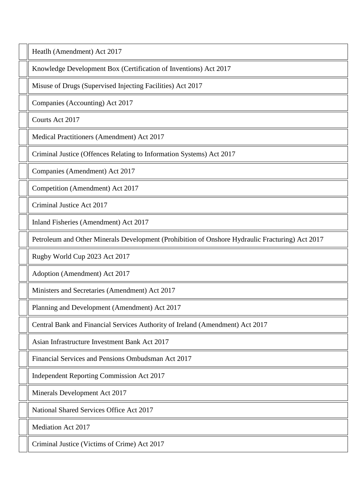Heatlh (Amendment) Act 2017

Knowledge Development Box (Certification of Inventions) Act 2017

Misuse of Drugs (Supervised Injecting Facilities) Act 2017

Companies (Accounting) Act 2017

Courts Act 2017

Medical Practitioners (Amendment) Act 2017

Criminal Justice (Offences Relating to Information Systems) Act 2017

Companies (Amendment) Act 2017

Competition (Amendment) Act 2017

Criminal Justice Act 2017

Inland Fisheries (Amendment) Act 2017

Petroleum and Other Minerals Development (Prohibition of Onshore Hydraulic Fracturing) Act 2017

Rugby World Cup 2023 Act 2017

Adoption (Amendment) Act 2017

Ministers and Secretaries (Amendment) Act 2017

Planning and Development (Amendment) Act 2017

Central Bank and Financial Services Authority of Ireland (Amendment) Act 2017

Asian Infrastructure Investment Bank Act 2017

Financial Services and Pensions Ombudsman Act 2017

Independent Reporting Commission Act 2017

Minerals Development Act 2017

National Shared Services Office Act 2017

Mediation Act 2017

Criminal Justice (Victims of Crime) Act 2017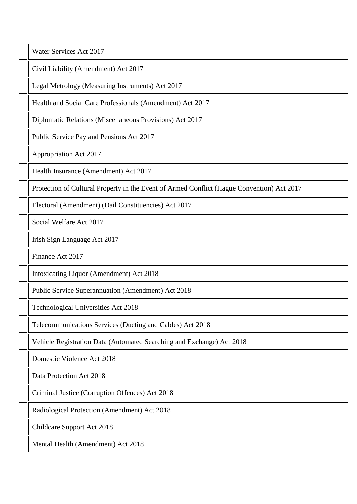Water Services Act 2017

Civil Liability (Amendment) Act 2017

Legal Metrology (Measuring Instruments) Act 2017

Health and Social Care Professionals (Amendment) Act 2017

Diplomatic Relations (Miscellaneous Provisions) Act 2017

Public Service Pay and Pensions Act 2017

Appropriation Act 2017

Health Insurance (Amendment) Act 2017

Protection of Cultural Property in the Event of Armed Conflict (Hague Convention) Act 2017

Electoral (Amendment) (Dail Constituencies) Act 2017

Social Welfare Act 2017

Irish Sign Language Act 2017

Finance Act 2017

Intoxicating Liquor (Amendment) Act 2018

Public Service Superannuation (Amendment) Act 2018

Technological Universities Act 2018

Telecommunications Services (Ducting and Cables) Act 2018

Vehicle Registration Data (Automated Searching and Exchange) Act 2018

Domestic Violence Act 2018

Data Protection Act 2018

Criminal Justice (Corruption Offences) Act 2018

Radiological Protection (Amendment) Act 2018

Childcare Support Act 2018

Mental Health (Amendment) Act 2018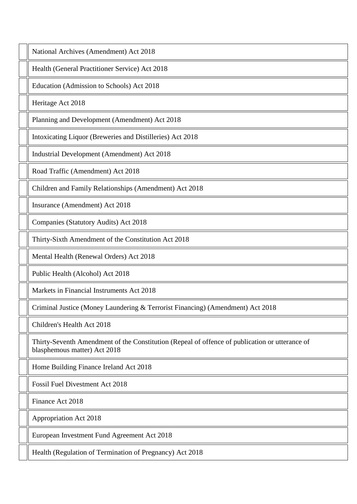National Archives (Amendment) Act 2018

Health (General Practitioner Service) Act 2018

Education (Admission to Schools) Act 2018

Heritage Act 2018

Planning and Development (Amendment) Act 2018

Intoxicating Liquor (Breweries and Distilleries) Act 2018

Industrial Development (Amendment) Act 2018

Road Traffic (Amendment) Act 2018

Children and Family Relationships (Amendment) Act 2018

Insurance (Amendment) Act 2018

Companies (Statutory Audits) Act 2018

Thirty-Sixth Amendment of the Constitution Act 2018

Mental Health (Renewal Orders) Act 2018

Public Health (Alcohol) Act 2018

Markets in Financial Instruments Act 2018

Criminal Justice (Money Laundering & Terrorist Financing) (Amendment) Act 2018

Children's Health Act 2018

Thirty-Seventh Amendment of the Constitution (Repeal of offence of publication or utterance of blasphemous matter) Act 2018

Home Building Finance Ireland Act 2018

Fossil Fuel Divestment Act 2018

Finance Act 2018

Appropriation Act 2018

European Investment Fund Agreement Act 2018

Health (Regulation of Termination of Pregnancy) Act 2018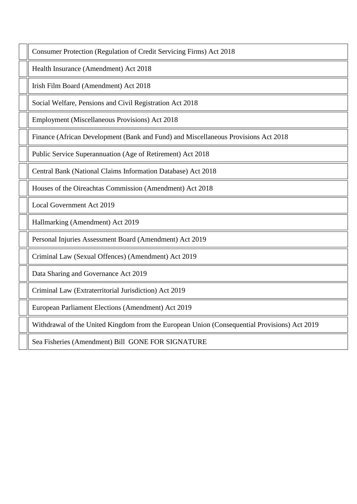Consumer Protection (Regulation of Credit Servicing Firms) Act 2018

Health Insurance (Amendment) Act 2018

Irish Film Board (Amendment) Act 2018

Social Welfare, Pensions and Civil Registration Act 2018

Employment (Miscellaneous Provisions) Act 2018

Finance (African Development (Bank and Fund) and Miscellaneous Provisions Act 2018

Public Service Superannuation (Age of Retirement) Act 2018

Central Bank (National Claims Information Database) Act 2018

Houses of the Oireachtas Commission (Amendment) Act 2018

Local Government Act 2019

Hallmarking (Amendment) Act 2019

Personal Injuries Assessment Board (Amendment) Act 2019

Criminal Law (Sexual Offences) (Amendment) Act 2019

Data Sharing and Governance Act 2019

Criminal Law (Extraterritorial Jurisdiction) Act 2019

European Parliament Elections (Amendment) Act 2019

Withdrawal of the United Kingdom from the European Union (Consequential Provisions) Act 2019

Sea Fisheries (Amendment) Bill GONE FOR SIGNATURE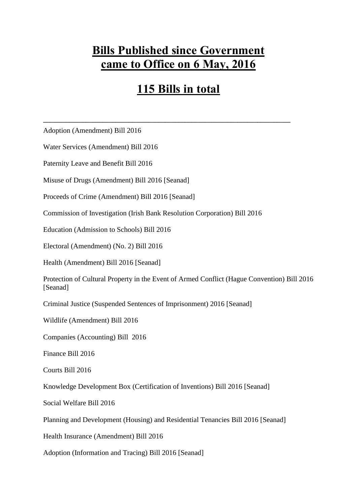# **Bills Published since Government came to Office on 6 May, 2016**

# **115 Bills in total**

**\_\_\_\_\_\_\_\_\_\_\_\_\_\_\_\_\_\_\_\_\_\_\_\_\_\_\_\_\_\_\_\_\_\_\_\_\_\_\_\_\_\_\_\_\_\_\_\_\_\_\_\_\_\_\_\_\_\_\_\_\_\_\_\_\_\_\_\_\_\_\_\_\_\_\_**

Adoption (Amendment) Bill 2016

Water Services (Amendment) Bill 2016

Paternity Leave and Benefit Bill 2016

Misuse of Drugs (Amendment) Bill 2016 [Seanad]

Proceeds of Crime (Amendment) Bill 2016 [Seanad]

Commission of Investigation (Irish Bank Resolution Corporation) Bill 2016

Education (Admission to Schools) Bill 2016

Electoral (Amendment) (No. 2) Bill 2016

Health (Amendment) Bill 2016 [Seanad]

Protection of Cultural Property in the Event of Armed Conflict (Hague Convention) Bill 2016 [Seanad]

Criminal Justice (Suspended Sentences of Imprisonment) 2016 [Seanad]

Wildlife (Amendment) Bill 2016

Companies (Accounting) Bill 2016

Finance Bill 2016

Courts Bill 2016

Knowledge Development Box (Certification of Inventions) Bill 2016 [Seanad]

Social Welfare Bill 2016

Planning and Development (Housing) and Residential Tenancies Bill 2016 [Seanad]

Health Insurance (Amendment) Bill 2016

Adoption (Information and Tracing) Bill 2016 [Seanad]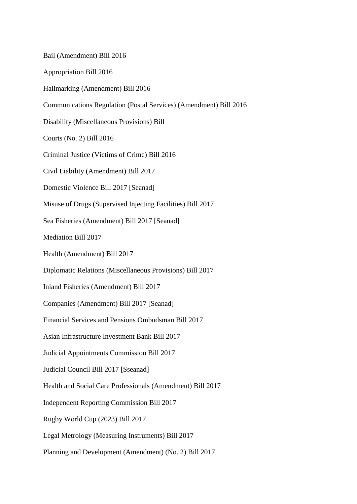Bail (Amendment) Bill 2016 Appropriation Bill 2016 Hallmarking (Amendment) Bill 2016 Communications Regulation (Postal Services) (Amendment) Bill 2016 Disability (Miscellaneous Provisions) Bill Courts (No. 2) Bill 2016 Criminal Justice (Victims of Crime) Bill 2016 Civil Liability (Amendment) Bill 2017 Domestic Violence Bill 2017 [Seanad] Misuse of Drugs (Supervised Injecting Facilities) Bill 2017 Sea Fisheries (Amendment) Bill 2017 [Seanad] Mediation Bill 2017 Health (Amendment) Bill 2017 Diplomatic Relations (Miscellaneous Provisions) Bill 2017 Inland Fisheries (Amendment) Bill 2017 Companies (Amendment) Bill 2017 [Seanad] Financial Services and Pensions Ombudsman Bill 2017 Asian Infrastructure Investment Bank Bill 2017 Judicial Appointments Commission Bill 2017 Judicial Council Bill 2017 [Sseanad] Health and Social Care Professionals (Amendment) Bill 2017 Independent Reporting Commission Bill 2017 Rugby World Cup (2023) Bill 2017 Legal Metrology (Measuring Instruments) Bill 2017 Planning and Development (Amendment) (No. 2) Bill 2017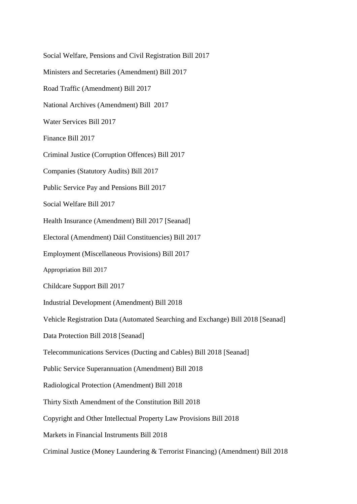Social Welfare, Pensions and Civil Registration Bill 2017 Ministers and Secretaries (Amendment) Bill 2017 Road Traffic (Amendment) Bill 2017 National Archives (Amendment) Bill 2017 Water Services Bill 2017 Finance Bill 2017 Criminal Justice (Corruption Offences) Bill 2017 Companies (Statutory Audits) Bill 2017 Public Service Pay and Pensions Bill 2017 Social Welfare Bill 2017 Health Insurance (Amendment) Bill 2017 [Seanad] Electoral (Amendment) Dáil Constituencies) Bill 2017 [Employment \(Miscellaneous Provisions\) Bill 2017](http://www.oireachtas.ie/viewdoc.asp?DocID=37328&&CatID=59)  Appropriation Bill 2017 Childcare Support Bill 2017 Industrial Development (Amendment) Bill 2018 Vehicle Registration Data (Automated Searching and Exchange) Bill 2018 [Seanad] Data Protection Bill 2018 [Seanad] Telecommunications Services (Ducting and Cables) Bill 2018 [Seanad] Public Service Superannuation (Amendment) Bill 2018 Radiological Protection (Amendment) Bill 2018 Thirty Sixth Amendment of the Constitution Bill 2018 Copyright and Other Intellectual Property Law Provisions Bill 2018 Markets in Financial Instruments Bill 2018 Criminal Justice (Money Laundering & Terrorist Financing) (Amendment) Bill 2018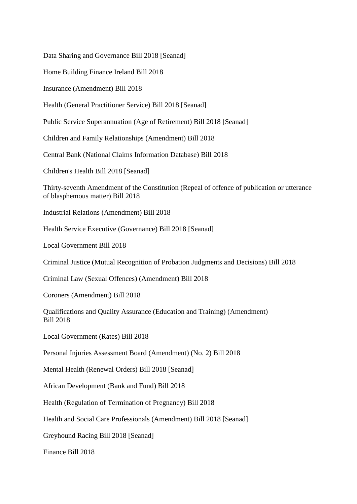Data Sharing and Governance Bill 2018 [Seanad]

Home Building Finance Ireland Bill 2018

Insurance (Amendment) Bill 2018

Health (General Practitioner Service) Bill 2018 [Seanad]

Public Service Superannuation (Age of Retirement) Bill 2018 [Seanad]

Children and Family Relationships (Amendment) Bill 2018

Central Bank (National Claims Information Database) Bill 2018

Children's Health Bill 2018 [Seanad]

Thirty-seventh Amendment of the Constitution (Repeal of offence of publication or utterance of blasphemous matter) Bill 2018

Industrial Relations (Amendment) Bill 2018

Health Service Executive (Governance) Bill 2018 [Seanad]

Local Government Bill 2018

Criminal Justice (Mutual Recognition of Probation Judgments and Decisions) Bill 2018

Criminal Law (Sexual Offences) (Amendment) Bill 2018

Coroners (Amendment) Bill 2018

Qualifications and Quality Assurance (Education and Training) (Amendment) Bill 2018

Local Government (Rates) Bill 2018

Personal Injuries Assessment Board (Amendment) (No. 2) Bill 2018

Mental Health (Renewal Orders) Bill 2018 [Seanad]

African Development (Bank and Fund) Bill 2018

Health (Regulation of Termination of Pregnancy) Bill 2018

Health and Social Care Professionals (Amendment) Bill 2018 [Seanad]

Greyhound Racing Bill 2018 [Seanad]

Finance Bill 2018